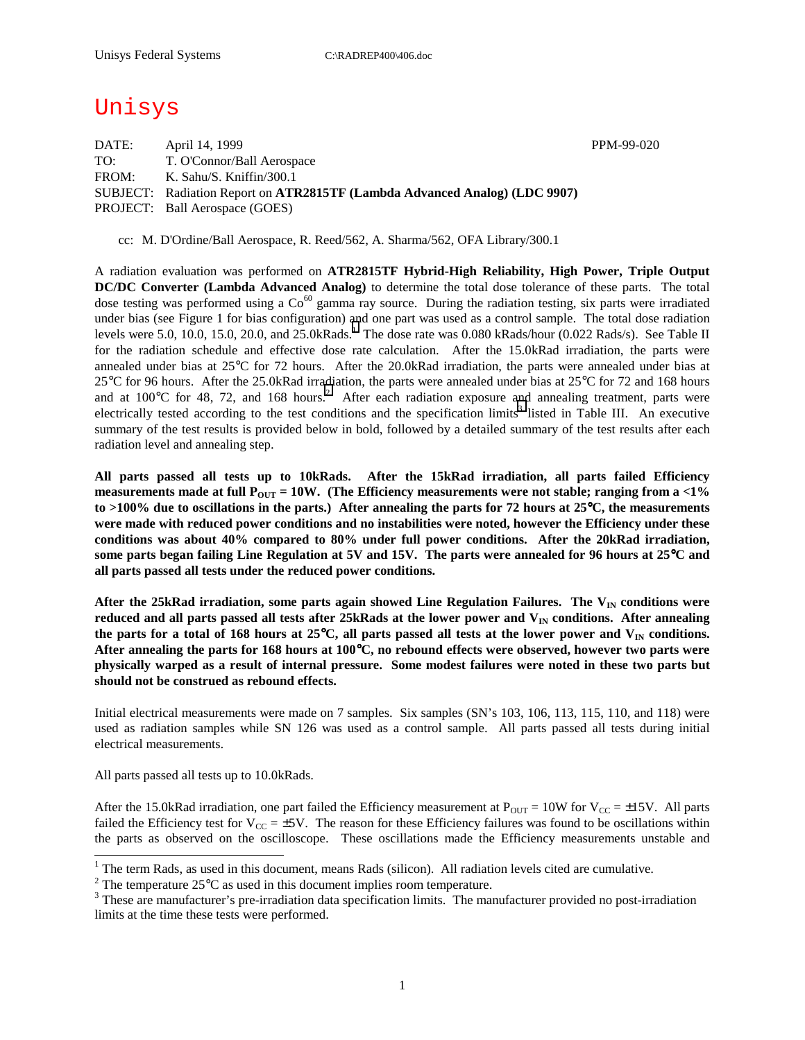# Unisys

| April 14, 1999                                                             | PPM-99-020 |
|----------------------------------------------------------------------------|------------|
| T. O'Connor/Ball Aerospace                                                 |            |
| K. Sahu/S. Kniffin/300.1                                                   |            |
| SUBJECT: Radiation Report on ATR2815TF (Lambda Advanced Analog) (LDC 9907) |            |
| <b>PROJECT:</b> Ball Aerospace (GOES)                                      |            |
|                                                                            |            |

cc: M. D'Ordine/Ball Aerospace, R. Reed/562, A. Sharma/562, OFA Library/300.1

A radiation evaluation was performed on **ATR2815TF Hybrid-High Reliability, High Power, Triple Output DC/DC Converter (Lambda Advanced Analog)** to determine the total dose tolerance of these parts. The total dose testing was performed using a  $Co^{60}$  gamma ray source. During the radiation testing, six parts were irradiated under bias (see Figure 1 for bias configuration) and one part was used as a control sample. The total dose radiation levels were 5.0, 10.0, 15.0, 20.0, and  $25.0kRads.$ <sup>1</sup> The dose rate was 0.080 kRads/hour (0.022 Rads/s). See Table II for the radiation schedule and effective dose rate calculation. After the 15.0kRad irradiation, the parts were annealed under bias at 25°C for 72 hours. After the 20.0kRad irradiation, the parts were annealed under bias at 25°C for 96 hours. After the 25.0kRad irradiation, the parts were annealed under bias at 25°C for 72 and 168 hours and at  $100^{\circ}$ C for 48, 72, and 168 hours.<sup>2</sup> After each radiation exposure and annealing treatment, parts were electrically tested according to the test conditions and the specification limits<sup>3</sup> listed in Table III. An executive summary of the test results is provided below in bold, followed by a detailed summary of the test results after each radiation level and annealing step.

**All parts passed all tests up to 10kRads. After the 15kRad irradiation, all parts failed Efficiency**  measurements made at full  $P_{\text{OUT}} = 10W$ . (The Efficiency measurements were not stable; ranging from a  $\langle 1\%$ **to >100% due to oscillations in the parts.) After annealing the parts for 72 hours at 25**°**C, the measurements were made with reduced power conditions and no instabilities were noted, however the Efficiency under these conditions was about 40% compared to 80% under full power conditions. After the 20kRad irradiation, some parts began failing Line Regulation at 5V and 15V. The parts were annealed for 96 hours at 25**°**C and all parts passed all tests under the reduced power conditions.** 

After the 25kRad irradiation, some parts again showed Line Regulation Failures. The  $V_{IN}$  conditions were reduced and all parts passed all tests after 25kRads at the lower power and  $V_{IN}$  conditions. After annealing the parts for a total of 168 hours at 25 $\degree$ C, all parts passed all tests at the lower power and  $V_{\text{IN}}$  conditions. **After annealing the parts for 168 hours at 100**°**C, no rebound effects were observed, however two parts were physically warped as a result of internal pressure. Some modest failures were noted in these two parts but should not be construed as rebound effects.** 

Initial electrical measurements were made on 7 samples. Six samples (SN's 103, 106, 113, 115, 110, and 118) were used as radiation samples while SN 126 was used as a control sample. All parts passed all tests during initial electrical measurements.

All parts passed all tests up to 10.0kRads.

 $\overline{a}$ 

After the 15.0kRad irradiation, one part failed the Efficiency measurement at  $P_{OUT} = 10W$  for  $V_{CC} = \pm 15V$ . All parts failed the Efficiency test for  $V_{CC} = \pm 5V$ . The reason for these Efficiency failures was found to be oscillations within the parts as observed on the oscilloscope. These oscillations made the Efficiency measurements unstable and

<sup>&</sup>lt;sup>1</sup> The term Rads, as used in this document, means Rads (silicon). All radiation levels cited are cumulative.

<sup>&</sup>lt;sup>2</sup> The temperature 25 $^{\circ}$ C as used in this document implies room temperature.  $^3$  These are manufacturer's are irrediction date apositionism limits. The manufacturer's

<sup>&</sup>lt;sup>3</sup> These are manufacturer's pre-irradiation data specification limits. The manufacturer provided no post-irradiation limits at the time these tests were performed.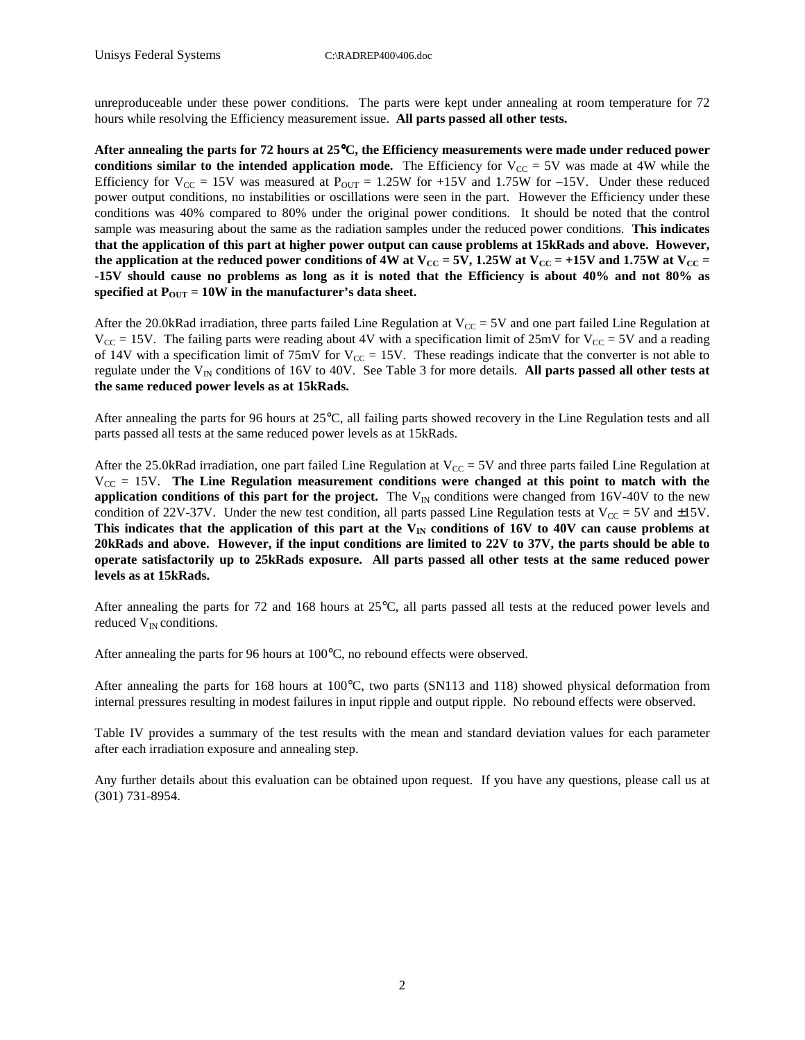unreproduceable under these power conditions. The parts were kept under annealing at room temperature for 72 hours while resolving the Efficiency measurement issue. **All parts passed all other tests.** 

**After annealing the parts for 72 hours at 25**°**C, the Efficiency measurements were made under reduced power conditions similar to the intended application mode.** The Efficiency for  $V_{CC} = 5V$  was made at 4W while the Efficiency for  $V_{\text{CC}} = 15V$  was measured at  $P_{\text{OUT}} = 1.25W$  for +15V and 1.75W for -15V. Under these reduced power output conditions, no instabilities or oscillations were seen in the part. However the Efficiency under these conditions was 40% compared to 80% under the original power conditions. It should be noted that the control sample was measuring about the same as the radiation samples under the reduced power conditions. **This indicates that the application of this part at higher power output can cause problems at 15kRads and above. However,**  the application at the reduced power conditions of 4W at  $V_{CC} = 5V$ , 1.25W at  $V_{CC} = +15V$  and 1.75W at  $V_{CC} =$ **-15V should cause no problems as long as it is noted that the Efficiency is about 40% and not 80% as**  specified at  $P_{OUT} = 10W$  in the manufacturer's data sheet.

After the 20.0kRad irradiation, three parts failed Line Regulation at  $V_{CC} = 5V$  and one part failed Line Regulation at  $V_{\text{CC}} = 15V$ . The failing parts were reading about 4V with a specification limit of 25mV for  $V_{\text{CC}} = 5V$  and a reading of 14V with a specification limit of 75mV for  $V_{CC} = 15V$ . These readings indicate that the converter is not able to regulate under the  $V_{IN}$  conditions of 16V to 40V. See Table 3 for more details. All parts passed all other tests at **the same reduced power levels as at 15kRads.** 

After annealing the parts for 96 hours at 25°C, all failing parts showed recovery in the Line Regulation tests and all parts passed all tests at the same reduced power levels as at 15kRads.

After the 25.0kRad irradiation, one part failed Line Regulation at  $V_{CC} = 5V$  and three parts failed Line Regulation at  $V_{CC}$  = 15V. The Line Regulation measurement conditions were changed at this point to match with the **application conditions of this part for the project.** The  $V_{IN}$  conditions were changed from 16V-40V to the new condition of 22V-37V. Under the new test condition, all parts passed Line Regulation tests at  $V_{CC} = 5V$  and  $\pm 15V$ . This indicates that the application of this part at the  $V_{IN}$  conditions of 16V to 40V can cause problems at **20kRads and above. However, if the input conditions are limited to 22V to 37V, the parts should be able to operate satisfactorily up to 25kRads exposure. All parts passed all other tests at the same reduced power levels as at 15kRads.** 

After annealing the parts for 72 and 168 hours at 25°C, all parts passed all tests at the reduced power levels and reduced  $V_{IN}$  conditions.

After annealing the parts for 96 hours at 100°C, no rebound effects were observed.

After annealing the parts for 168 hours at 100°C, two parts (SN113 and 118) showed physical deformation from internal pressures resulting in modest failures in input ripple and output ripple. No rebound effects were observed.

Table IV provides a summary of the test results with the mean and standard deviation values for each parameter after each irradiation exposure and annealing step.

Any further details about this evaluation can be obtained upon request. If you have any questions, please call us at (301) 731-8954.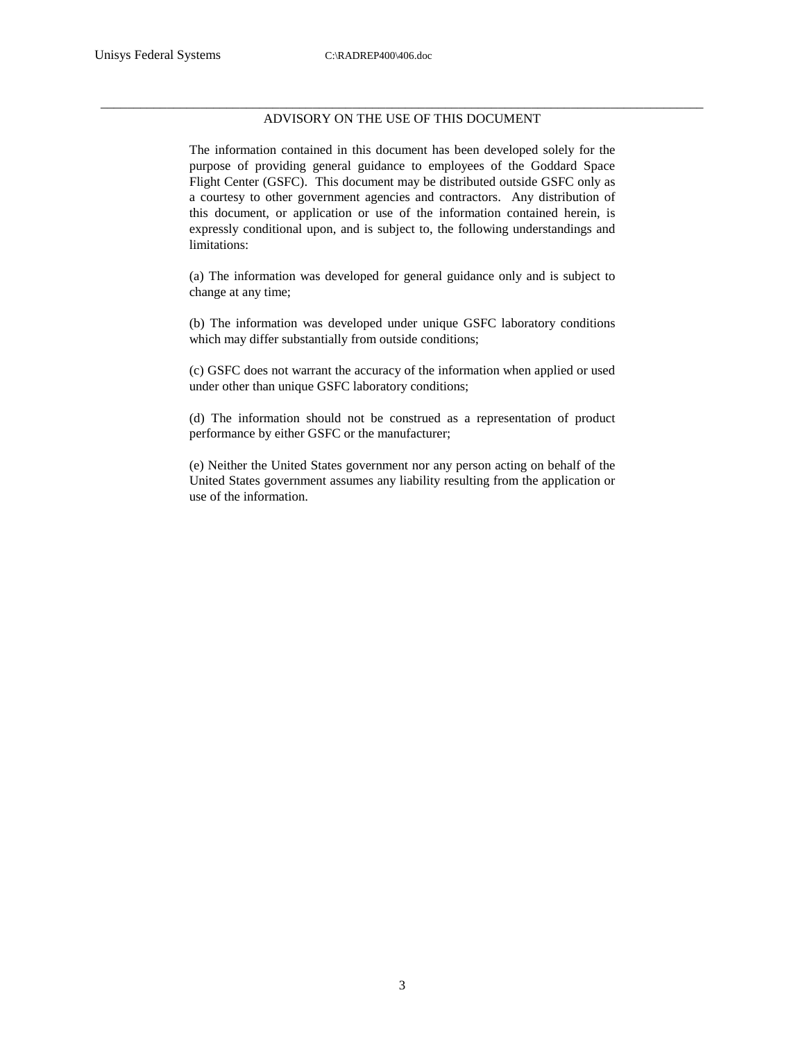### \_\_\_\_\_\_\_\_\_\_\_\_\_\_\_\_\_\_\_\_\_\_\_\_\_\_\_\_\_\_\_\_\_\_\_\_\_\_\_\_\_\_\_\_\_\_\_\_\_\_\_\_\_\_\_\_\_\_\_\_\_\_\_\_\_\_\_\_\_\_\_\_\_\_\_\_\_\_\_\_\_\_\_\_\_\_\_\_\_\_\_ ADVISORY ON THE USE OF THIS DOCUMENT

The information contained in this document has been developed solely for the purpose of providing general guidance to employees of the Goddard Space Flight Center (GSFC). This document may be distributed outside GSFC only as a courtesy to other government agencies and contractors. Any distribution of this document, or application or use of the information contained herein, is expressly conditional upon, and is subject to, the following understandings and limitations:

(a) The information was developed for general guidance only and is subject to change at any time;

(b) The information was developed under unique GSFC laboratory conditions which may differ substantially from outside conditions;

(c) GSFC does not warrant the accuracy of the information when applied or used under other than unique GSFC laboratory conditions;

(d) The information should not be construed as a representation of product performance by either GSFC or the manufacturer;

(e) Neither the United States government nor any person acting on behalf of the United States government assumes any liability resulting from the application or use of the information.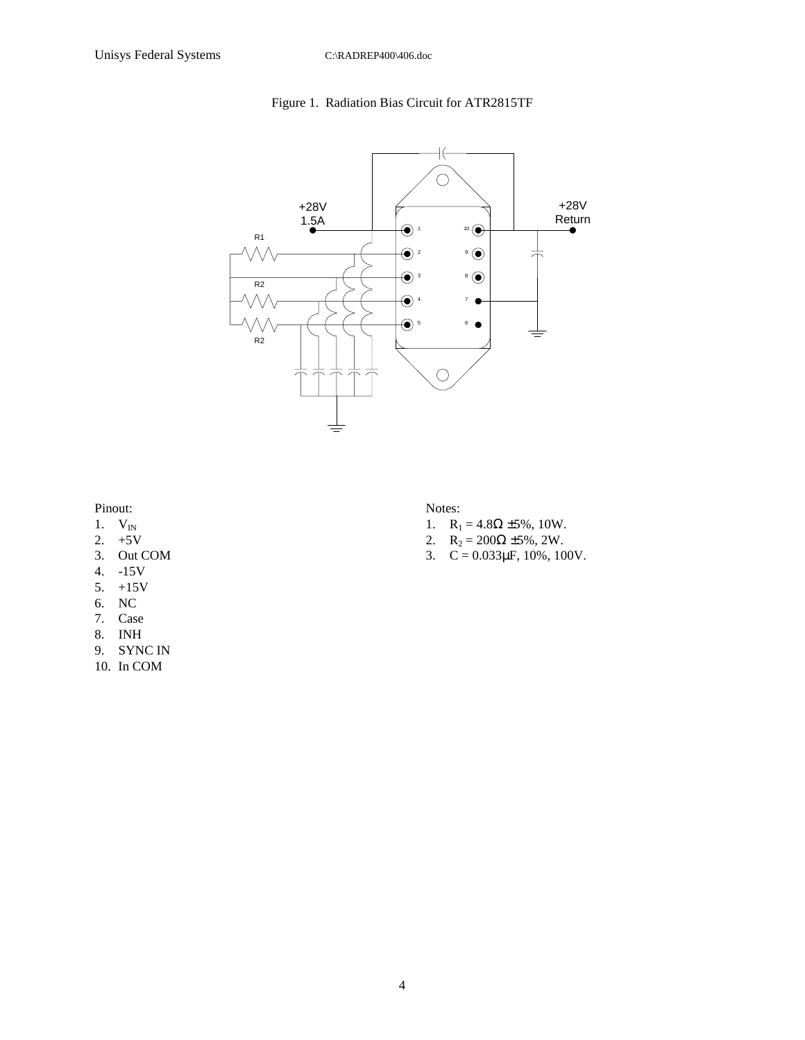

# Figure 1. Radiation Bias Circuit for ATR2815TF

## Pinout:

- 1.  $V_{IN}$
- 2. +5V
- 3. Out COM
- 4. -15V
- 5. +15V
- 6. NC
- 7. Case
- 8. INH
- 9. SYNC IN
- 10. In COM

#### Notes:

- 1.  $R_1 = 4.8\Omega \pm 5\%, 10W$ .
- 2.  $R_2 = 200\Omega \pm 5\%, 2W$ .
- 3.  $C = 0.033 \mu F$ , 10%, 100V.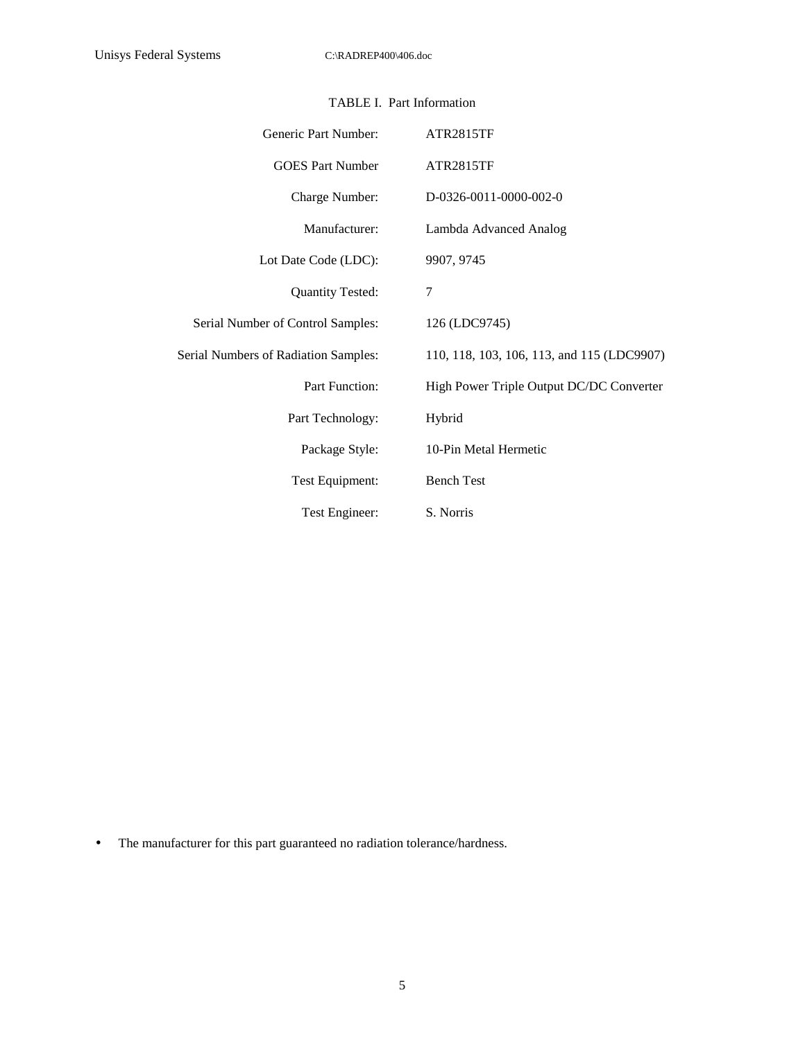| Generic Part Number:                 | ATR2815TF                                  |
|--------------------------------------|--------------------------------------------|
| <b>GOES</b> Part Number              | <b>ATR2815TF</b>                           |
| Charge Number:                       | D-0326-0011-0000-002-0                     |
| Manufacturer:                        | Lambda Advanced Analog                     |
| Lot Date Code (LDC):                 | 9907, 9745                                 |
| <b>Quantity Tested:</b>              | 7                                          |
| Serial Number of Control Samples:    | 126 (LDC9745)                              |
| Serial Numbers of Radiation Samples: | 110, 118, 103, 106, 113, and 115 (LDC9907) |
| Part Function:                       | High Power Triple Output DC/DC Converter   |
| Part Technology:                     | Hybrid                                     |
| Package Style:                       | 10-Pin Metal Hermetic                      |
| Test Equipment:                      | <b>Bench Test</b>                          |
| Test Engineer:                       | S. Norris                                  |

# TABLE I. Part Information

• The manufacturer for this part guaranteed no radiation tolerance/hardness.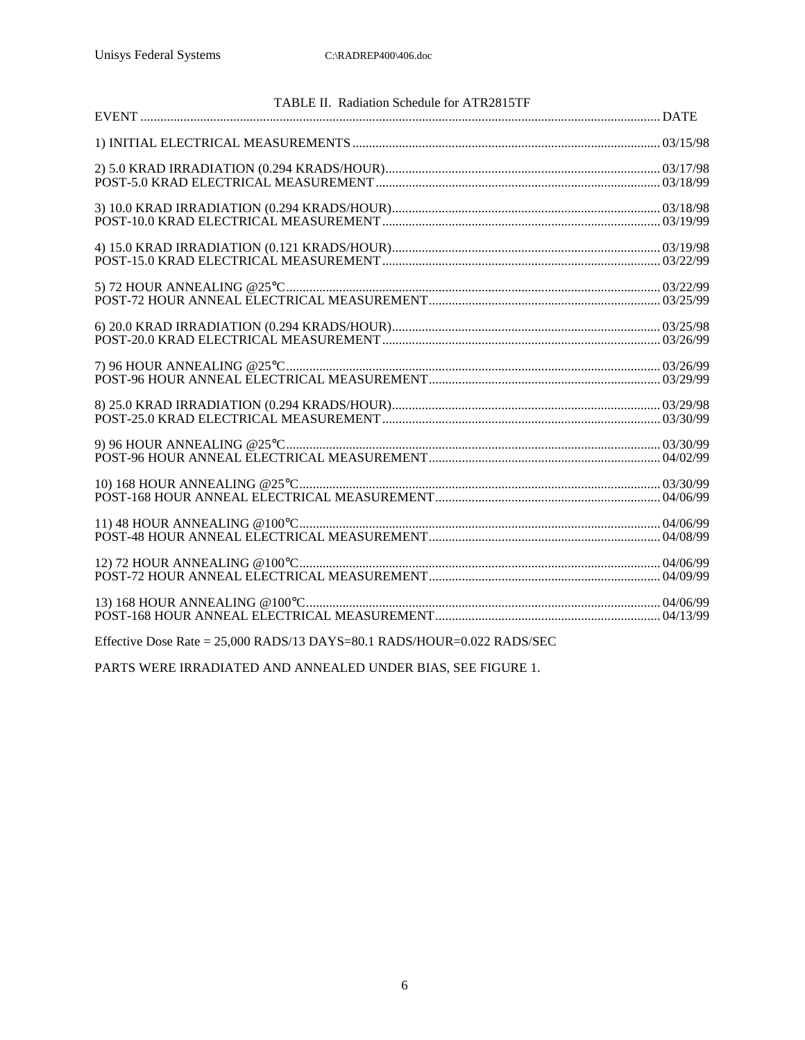| TABLE II. Radiation Schedule for ATR2815TF |  |
|--------------------------------------------|--|
|                                            |  |
|                                            |  |
|                                            |  |
|                                            |  |
|                                            |  |
|                                            |  |
|                                            |  |
|                                            |  |
|                                            |  |
|                                            |  |
|                                            |  |
|                                            |  |
|                                            |  |
|                                            |  |
|                                            |  |
|                                            |  |
|                                            |  |
|                                            |  |
|                                            |  |
|                                            |  |
|                                            |  |
|                                            |  |
|                                            |  |
|                                            |  |
|                                            |  |
|                                            |  |
|                                            |  |

Effective Dose Rate = 25,000 RADS/13 DAYS=80.1 RADS/HOUR=0.022 RADS/SEC

PARTS WERE IRRADIATED AND ANNEALED UNDER BIAS, SEE FIGURE 1.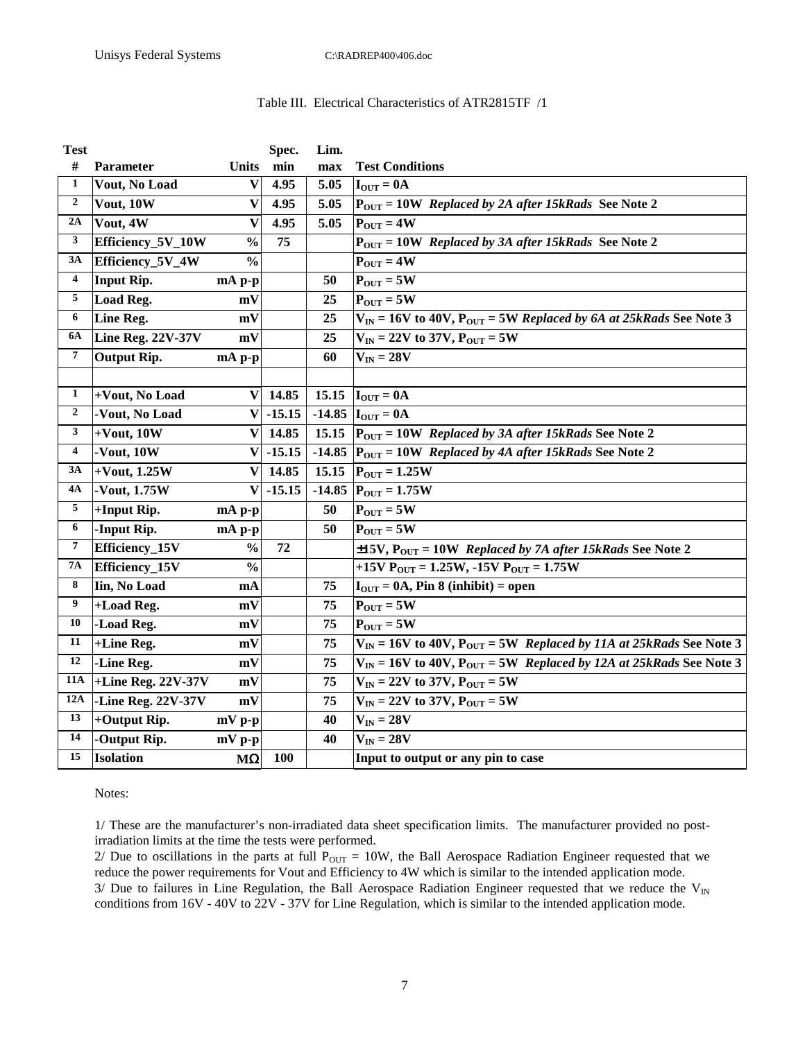## Table III. Electrical Characteristics of ATR2815TF /1

| <b>Test</b>             |                            |                           | Spec.      | Lim.     |                                                                             |
|-------------------------|----------------------------|---------------------------|------------|----------|-----------------------------------------------------------------------------|
| $\#$                    | Parameter                  | <b>Units</b>              | min        | max      | <b>Test Conditions</b>                                                      |
| 1                       | Vout, No Load              | $\boldsymbol{\mathrm{V}}$ | 4.95       | 5.05     | $I_{\text{OUT}} = 0A$                                                       |
| $\boldsymbol{2}$        | Vout, 10W                  | V                         | 4.95       | 5.05     | $P_{\text{OUT}} = 10W$ Replaced by 2A after 15kRads See Note 2              |
| 2A                      | Vout, 4W                   | V                         | 4.95       | 5.05     | $P_{OUT} = 4W$                                                              |
| $\mathbf{3}$            | Efficiency_5V_10W          | $\frac{0}{0}$             | 75         |          | $P_{OUT} = 10W$ Replaced by 3A after 15kRads See Note 2                     |
| 3A                      | Efficiency_5V_4W           | $\frac{0}{0}$             |            |          | $P_{OUT} = 4W$                                                              |
| $\overline{\mathbf{4}}$ | <b>Input Rip.</b>          | mA p-p                    |            | 50       | $P_{OUT} = 5W$                                                              |
| $\overline{\mathbf{5}}$ | Load Reg.                  | mV                        |            | 25       | $P_{OUT} = 5W$                                                              |
| 6                       | Line Reg.                  | mV                        |            | 25       | $V_{IN}$ = 16V to 40V, $P_{OUT}$ = 5W Replaced by 6A at 25kRads See Note 3  |
| 6A                      | Line Reg. 22V-37V          | mV                        |            | 25       | $V_{IN}$ = 22V to 37V, $P_{OUT}$ = 5W                                       |
| $\pmb{7}$               | <b>Output Rip.</b>         | $mA$ p-p                  |            | 60       | $V_{IN} = 28V$                                                              |
|                         |                            |                           |            |          |                                                                             |
| $\mathbf{1}$            | +Vout, No Load             | V                         | 14.85      | 15.15    | $I_{OUT} = 0A$                                                              |
| $\overline{2}$          | -Vout, No Load             | V                         | $-15.15$   |          | -14.85 $I_{OUT} = 0A$                                                       |
| $\mathbf{3}$            | $+$ Vout, 10W              | $\overline{\mathbf{V}}$   | 14.85      | 15.15    | $P_{OUT} = 10W$ Replaced by 3A after 15kRads See Note 2                     |
| $\overline{\mathbf{4}}$ | -Vout, 10W                 | $\mathbf{V}$              | $-15.15$   | $-14.85$ | $P_{OUT} = 10W$ Replaced by 4A after 15kRads See Note 2                     |
| 3A                      | $+$ Vout, 1.25W            | V                         | 14.85      | 15.15    | $P_{OUT} = 1.25W$                                                           |
| 4A                      | $\overline{-V}$ out, 1.75W | $\bf{V}$                  | $-15.15$   |          | -14.85 $P_{\text{OUT}} = 1.75W$                                             |
| $\overline{\mathbf{5}}$ | +Input Rip.                | mA p-p                    |            | 50       | $P_{OUT} = 5W$                                                              |
| 6                       | -Input Rip.                | $mA$ p-p                  |            | 50       | $P_{\text{OUT}} = 5W$                                                       |
| $\overline{7}$          | Efficiency_15V             | $\frac{0}{0}$             | 72         |          | $\pm 15V$ , $P_{OUT} = 10W$ Replaced by 7A after 15kRads See Note 2         |
| $7\mathrm{A}$           | Efficiency_15V             | $\frac{0}{0}$             |            |          | +15V $P_{OUT} = 1.25W$ , -15V $P_{OUT} = 1.75W$                             |
| $\bf 8$                 | Iin, No Load               | mA                        |            | 75       | $I_{\text{OUT}} = 0$ A, Pin 8 (inhibit) = open                              |
| 9                       | +Load Reg.                 | mV                        |            | 75       | $P_{OUT} = 5W$                                                              |
| 10                      | -Load Reg.                 | mV                        |            | 75       | $P_{OUT} = 5W$                                                              |
| 11                      | +Line Reg.                 | mV                        |            | 75       | $V_{IN} = 16V$ to 40V, $P_{OUT} = 5W$ Replaced by 11A at 25kRads See Note 3 |
| 12                      | -Line Reg.                 | mV                        |            | 75       | $V_{IN} = 16V$ to 40V, $P_{OUT} = 5W$ Replaced by 12A at 25kRads See Note 3 |
| <b>11A</b>              | +Line Reg. 22V-37V         | mV                        |            | 75       | $V_{IN} = 22V$ to 37V, $P_{OUT} = 5W$                                       |
| 12A                     | -Line Reg. 22V-37V         | mV                        |            | 75       | $V_{IN} = 22V$ to 37V, $P_{OUT} = 5W$                                       |
| 13                      | +Output Rip.               | $mV$ p-p                  |            | 40       | $V_{IN} = 28V$                                                              |
| 14                      | -Output Rip.               | $mV$ p-p                  |            | 40       | $V_{IN} = 28V$                                                              |
| 15                      | Isolation                  | $\mathbf{M}\Omega$        | <b>100</b> |          | Input to output or any pin to case                                          |

Notes:

1/ These are the manufacturer's non-irradiated data sheet specification limits. The manufacturer provided no postirradiation limits at the time the tests were performed.

2/ Due to oscillations in the parts at full  $P_{OUT} = 10W$ , the Ball Aerospace Radiation Engineer requested that we reduce the power requirements for Vout and Efficiency to 4W which is similar to the intended application mode. 3/ Due to failures in Line Regulation, the Ball Aerospace Radiation Engineer requested that we reduce the  $V_{IN}$ conditions from 16V - 40V to 22V - 37V for Line Regulation, which is similar to the intended application mode.